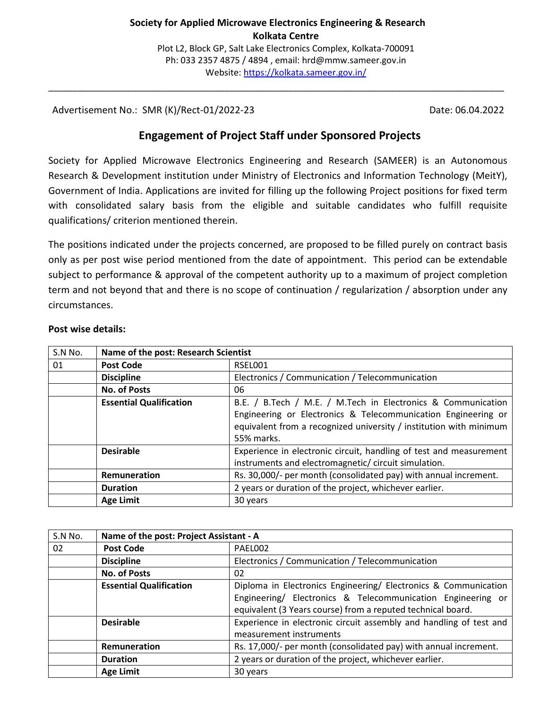\_\_\_\_\_\_\_\_\_\_\_\_\_\_\_\_\_\_\_\_\_\_\_\_\_\_\_\_\_\_\_\_\_\_\_\_\_\_\_\_\_\_\_\_\_\_\_\_\_\_\_\_\_\_\_\_\_\_\_\_\_\_\_\_\_\_\_\_\_\_\_\_\_\_\_\_\_\_\_\_\_\_\_\_\_\_\_\_\_\_\_\_\_

Advertisement No.: SMR (K)/Rect-01/2022-23 Date: 06.04.2022

# **Engagement of Project Staff under Sponsored Projects**

Society for Applied Microwave Electronics Engineering and Research (SAMEER) is an Autonomous Research & Development institution under Ministry of Electronics and Information Technology (MeitY), Government of India. Applications are invited for filling up the following Project positions for fixed term with consolidated salary basis from the eligible and suitable candidates who fulfill requisite qualifications/ criterion mentioned therein.

The positions indicated under the projects concerned, are proposed to be filled purely on contract basis only as per post wise period mentioned from the date of appointment. This period can be extendable subject to performance & approval of the competent authority up to a maximum of project completion term and not beyond that and there is no scope of continuation / regularization / absorption under any circumstances.

| S.N No. | Name of the post: Research Scientist |                                                                                                                                                                                                                   |
|---------|--------------------------------------|-------------------------------------------------------------------------------------------------------------------------------------------------------------------------------------------------------------------|
| 01      | <b>Post Code</b>                     | RSEL001                                                                                                                                                                                                           |
|         | <b>Discipline</b>                    | Electronics / Communication / Telecommunication                                                                                                                                                                   |
|         | <b>No. of Posts</b>                  | 06                                                                                                                                                                                                                |
|         | <b>Essential Qualification</b>       | B.E. / B.Tech / M.E. / M.Tech in Electronics & Communication<br>Engineering or Electronics & Telecommunication Engineering or<br>equivalent from a recognized university / institution with minimum<br>55% marks. |
|         | <b>Desirable</b>                     | Experience in electronic circuit, handling of test and measurement<br>instruments and electromagnetic/circuit simulation.                                                                                         |
|         | Remuneration                         | Rs. 30,000/- per month (consolidated pay) with annual increment.                                                                                                                                                  |
|         | <b>Duration</b>                      | 2 years or duration of the project, whichever earlier.                                                                                                                                                            |
|         | <b>Age Limit</b>                     | 30 years                                                                                                                                                                                                          |

#### **Post wise details:**

| S.N No. | Name of the post: Project Assistant - A |                                                                                                                                                                                               |
|---------|-----------------------------------------|-----------------------------------------------------------------------------------------------------------------------------------------------------------------------------------------------|
| 02      | <b>Post Code</b>                        | PAEL002                                                                                                                                                                                       |
|         | <b>Discipline</b>                       | Electronics / Communication / Telecommunication                                                                                                                                               |
|         | <b>No. of Posts</b>                     | 02                                                                                                                                                                                            |
|         | <b>Essential Qualification</b>          | Diploma in Electronics Engineering/ Electronics & Communication<br>Engineering/ Electronics & Telecommunication Engineering or<br>equivalent (3 Years course) from a reputed technical board. |
|         | <b>Desirable</b>                        | Experience in electronic circuit assembly and handling of test and<br>measurement instruments                                                                                                 |
|         | Remuneration                            | Rs. 17,000/- per month (consolidated pay) with annual increment.                                                                                                                              |
|         | <b>Duration</b>                         | 2 years or duration of the project, whichever earlier.                                                                                                                                        |
|         | <b>Age Limit</b>                        | 30 years                                                                                                                                                                                      |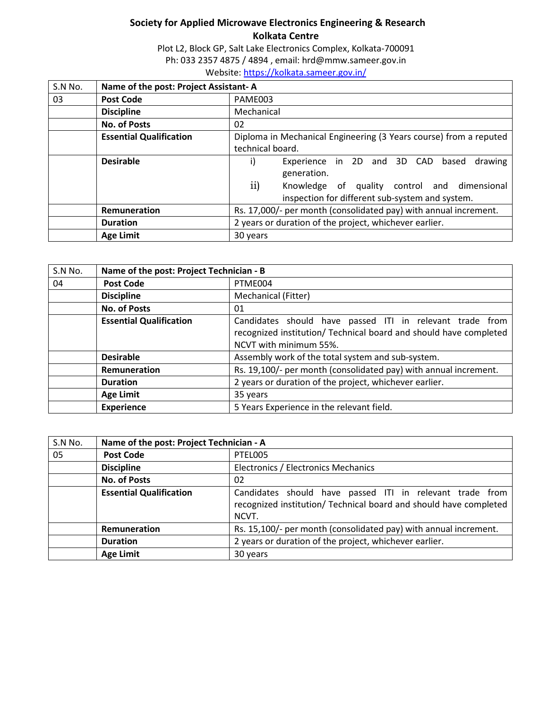Plot L2, Block GP, Salt Lake Electronics Complex, Kolkata-700091 Ph: 033 2357 4875 / 4894 , email: hrd@mmw.sameer.gov.in Website: https://kolkata.sameer.gov.in/

| S.N No. | Name of the post: Project Assistant-A |                                                                   |
|---------|---------------------------------------|-------------------------------------------------------------------|
| 03      | <b>Post Code</b>                      | PAME003                                                           |
|         | <b>Discipline</b>                     | Mechanical                                                        |
|         | <b>No. of Posts</b>                   | 02                                                                |
|         | <b>Essential Qualification</b>        | Diploma in Mechanical Engineering (3 Years course) from a reputed |
|         |                                       | technical board.                                                  |
|         | <b>Desirable</b>                      | Experience in 2D and 3D CAD<br>i)<br>based<br>drawing             |
|         |                                       | generation.                                                       |
|         |                                       | $\overline{11}$<br>Knowledge of quality control and dimensional   |
|         |                                       | inspection for different sub-system and system.                   |
|         | Remuneration                          | Rs. 17,000/- per month (consolidated pay) with annual increment.  |
|         | <b>Duration</b>                       | 2 years or duration of the project, whichever earlier.            |
|         | <b>Age Limit</b>                      | 30 years                                                          |

| S.N No. | Name of the post: Project Technician - B |                                                                                                                                                         |
|---------|------------------------------------------|---------------------------------------------------------------------------------------------------------------------------------------------------------|
| 04      | <b>Post Code</b>                         | PTME004                                                                                                                                                 |
|         | <b>Discipline</b>                        | Mechanical (Fitter)                                                                                                                                     |
|         | <b>No. of Posts</b>                      | 01                                                                                                                                                      |
|         | <b>Essential Qualification</b>           | Candidates should have passed ITI in relevant trade from<br>recognized institution/ Technical board and should have completed<br>NCVT with minimum 55%. |
|         | <b>Desirable</b>                         | Assembly work of the total system and sub-system.                                                                                                       |
|         | Remuneration                             | Rs. 19,100/- per month (consolidated pay) with annual increment.                                                                                        |
|         | <b>Duration</b>                          | 2 years or duration of the project, whichever earlier.                                                                                                  |
|         | <b>Age Limit</b>                         | 35 years                                                                                                                                                |
|         | <b>Experience</b>                        | 5 Years Experience in the relevant field.                                                                                                               |

| S.N No. | Name of the post: Project Technician - A |                                                                   |
|---------|------------------------------------------|-------------------------------------------------------------------|
| 05      | <b>Post Code</b>                         | PTEL005                                                           |
|         | <b>Discipline</b>                        | Electronics / Electronics Mechanics                               |
|         | <b>No. of Posts</b>                      | 02                                                                |
|         | <b>Essential Qualification</b>           | Candidates should have passed ITI in relevant trade from          |
|         |                                          | recognized institution/ Technical board and should have completed |
|         |                                          | NCVT.                                                             |
|         | <b>Remuneration</b>                      | Rs. 15,100/- per month (consolidated pay) with annual increment.  |
|         | <b>Duration</b>                          | 2 years or duration of the project, whichever earlier.            |
|         | <b>Age Limit</b>                         | 30 years                                                          |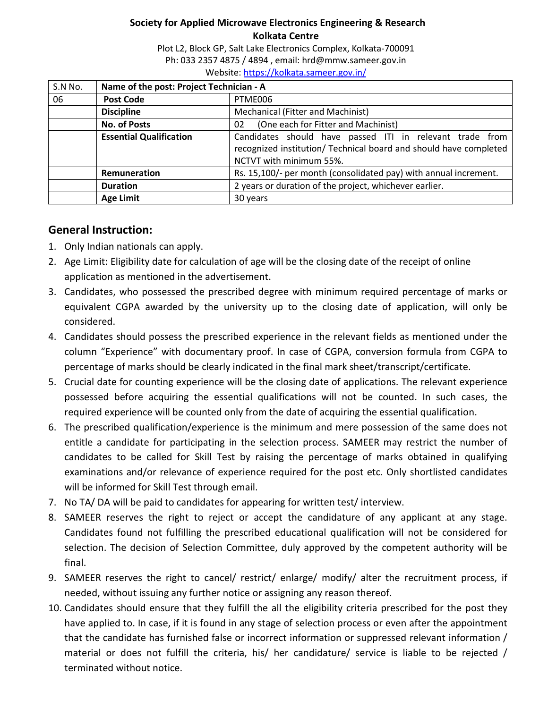Plot L2, Block GP, Salt Lake Electronics Complex, Kolkata-700091 Ph: 033 2357 4875 / 4894 , email: hrd@mmw.sameer.gov.in Website: https://kolkata.sameer.gov.in/

| S.N No. | Name of the post: Project Technician - A |                                                                   |
|---------|------------------------------------------|-------------------------------------------------------------------|
| 06      | <b>Post Code</b>                         | PTME006                                                           |
|         | <b>Discipline</b>                        | Mechanical (Fitter and Machinist)                                 |
|         | <b>No. of Posts</b>                      | (One each for Fitter and Machinist)<br>02                         |
|         | <b>Essential Qualification</b>           | Candidates should have passed ITI in relevant trade from          |
|         |                                          | recognized institution/ Technical board and should have completed |
|         |                                          | NCTVT with minimum 55%.                                           |
|         | Remuneration                             | Rs. 15,100/- per month (consolidated pay) with annual increment.  |
|         | <b>Duration</b>                          | 2 years or duration of the project, whichever earlier.            |
|         | <b>Age Limit</b>                         | 30 years                                                          |

# **General Instruction:**

- 1. Only Indian nationals can apply.
- 2. Age Limit: Eligibility date for calculation of age will be the closing date of the receipt of online application as mentioned in the advertisement.
- 3. Candidates, who possessed the prescribed degree with minimum required percentage of marks or equivalent CGPA awarded by the university up to the closing date of application, will only be considered.
- 4. Candidates should possess the prescribed experience in the relevant fields as mentioned under the column "Experience" with documentary proof. In case of CGPA, conversion formula from CGPA to percentage of marks should be clearly indicated in the final mark sheet/transcript/certificate.
- 5. Crucial date for counting experience will be the closing date of applications. The relevant experience possessed before acquiring the essential qualifications will not be counted. In such cases, the required experience will be counted only from the date of acquiring the essential qualification.
- 6. The prescribed qualification/experience is the minimum and mere possession of the same does not entitle a candidate for participating in the selection process. SAMEER may restrict the number of candidates to be called for Skill Test by raising the percentage of marks obtained in qualifying examinations and/or relevance of experience required for the post etc. Only shortlisted candidates will be informed for Skill Test through email.
- 7. No TA/ DA will be paid to candidates for appearing for written test/ interview.
- 8. SAMEER reserves the right to reject or accept the candidature of any applicant at any stage. Candidates found not fulfilling the prescribed educational qualification will not be considered for selection. The decision of Selection Committee, duly approved by the competent authority will be final.
- 9. SAMEER reserves the right to cancel/ restrict/ enlarge/ modify/ alter the recruitment process, if needed, without issuing any further notice or assigning any reason thereof.
- 10. Candidates should ensure that they fulfill the all the eligibility criteria prescribed for the post they have applied to. In case, if it is found in any stage of selection process or even after the appointment that the candidate has furnished false or incorrect information or suppressed relevant information / material or does not fulfill the criteria, his/ her candidature/ service is liable to be rejected / terminated without notice.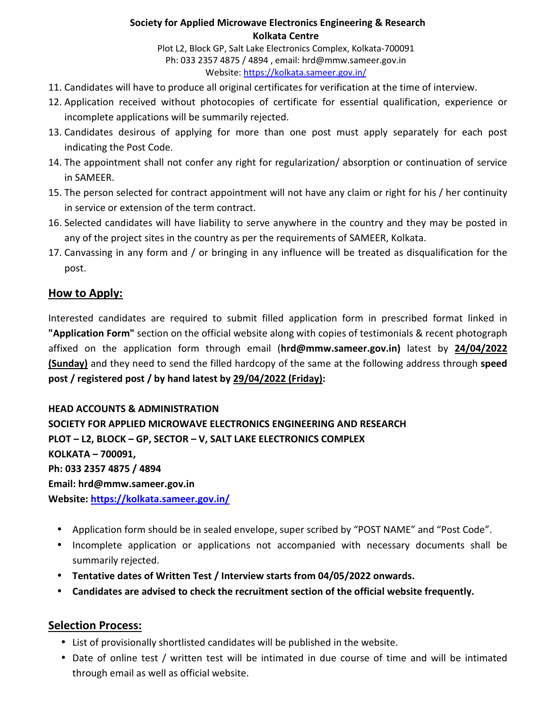Plot L2, Block GP, Salt Lake Electronics Complex, Kolkata-700091 Ph: 033 2357 4875 / 4894 , email: hrd@mmw.sameer.gov.in Website: https://kolkata.sameer.gov.in/

- 11. Candidates will have to produce all original certificates for verification at the time of interview.
- 12. Application received without photocopies of certificate for essential qualification, experience or incomplete applications will be summarily rejected.
- 13. Candidates desirous of applying for more than one post must apply separately for each post indicating the Post Code.
- 14. The appointment shall not confer any right for regularization/ absorption or continuation of service in SAMEER.
- 15. The person selected for contract appointment will not have any claim or right for his / her continuity in service or extension of the term contract.
- 16. Selected candidates will have liability to serve anywhere in the country and they may be posted in any of the project sites in the country as per the requirements of SAMEER, Kolkata.
- 17. Canvassing in any form and / or bringing in any influence will be treated as disqualification for the post.

# **How to Apply:**

Interested candidates are required to submit filled application form in prescribed format linked in **"Application Form"** section on the official website along with copies of testimonials & recent photograph affixed on the application form through email (**hrd@mmw.sameer.gov.in)** latest by **24/04/2022 (Sunday)** and they need to send the filled hardcopy of the same at the following address through **speed post / registered post / by hand latest by 29/04/2022 (Friday):** 

### **HEAD ACCOUNTS & ADMINISTRATION**

**SOCIETY FOR APPLIED MICROWAVE ELECTRONICS ENGINEERING AND RESEARCH PLOT – L2, BLOCK – GP, SECTOR – V, SALT LAKE ELECTRONICS COMPLEX KOLKATA – 700091, Ph: 033 2357 4875 / 4894 Email: hrd@mmw.sameer.gov.in Website: https://kolkata.sameer.gov.in/**

- Application form should be in sealed envelope, super scribed by "POST NAME" and "Post Code".
- Incomplete application or applications not accompanied with necessary documents shall be summarily rejected.
- **Tentative dates of Written Test / Interview starts from 04/05/2022 onwards.**
- **Candidates are advised to check the recruitment section of the official website frequently.**

## **Selection Process:**

- List of provisionally shortlisted candidates will be published in the website.
- Date of online test / written test will be intimated in due course of time and will be intimated through email as well as official website.